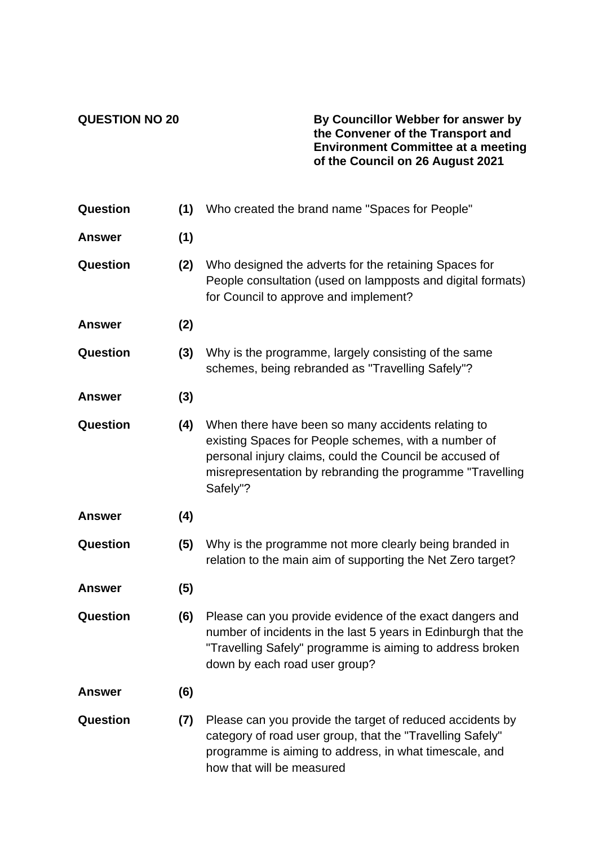**QUESTION NO 20 By Councillor Webber for answer by the Convener of the Transport and Environment Committee at a meeting of the Council on 26 August 2021**

| Question        | (1) | Who created the brand name "Spaces for People"                                                                                                                                                                                                  |
|-----------------|-----|-------------------------------------------------------------------------------------------------------------------------------------------------------------------------------------------------------------------------------------------------|
| <b>Answer</b>   | (1) |                                                                                                                                                                                                                                                 |
| Question        | (2) | Who designed the adverts for the retaining Spaces for<br>People consultation (used on lampposts and digital formats)<br>for Council to approve and implement?                                                                                   |
| <b>Answer</b>   | (2) |                                                                                                                                                                                                                                                 |
| Question        | (3) | Why is the programme, largely consisting of the same<br>schemes, being rebranded as "Travelling Safely"?                                                                                                                                        |
| <b>Answer</b>   | (3) |                                                                                                                                                                                                                                                 |
| Question        | (4) | When there have been so many accidents relating to<br>existing Spaces for People schemes, with a number of<br>personal injury claims, could the Council be accused of<br>misrepresentation by rebranding the programme "Travelling"<br>Safely"? |
| <b>Answer</b>   | (4) |                                                                                                                                                                                                                                                 |
| Question        | (5) | Why is the programme not more clearly being branded in<br>relation to the main aim of supporting the Net Zero target?                                                                                                                           |
| <b>Answer</b>   | (5) |                                                                                                                                                                                                                                                 |
| <b>Question</b> | (6) | Please can you provide evidence of the exact dangers and<br>number of incidents in the last 5 years in Edinburgh that the<br>"Travelling Safely" programme is aiming to address broken<br>down by each road user group?                         |
| <b>Answer</b>   | (6) |                                                                                                                                                                                                                                                 |
| Question        | (7) | Please can you provide the target of reduced accidents by<br>category of road user group, that the "Travelling Safely"<br>programme is aiming to address, in what timescale, and<br>how that will be measured                                   |